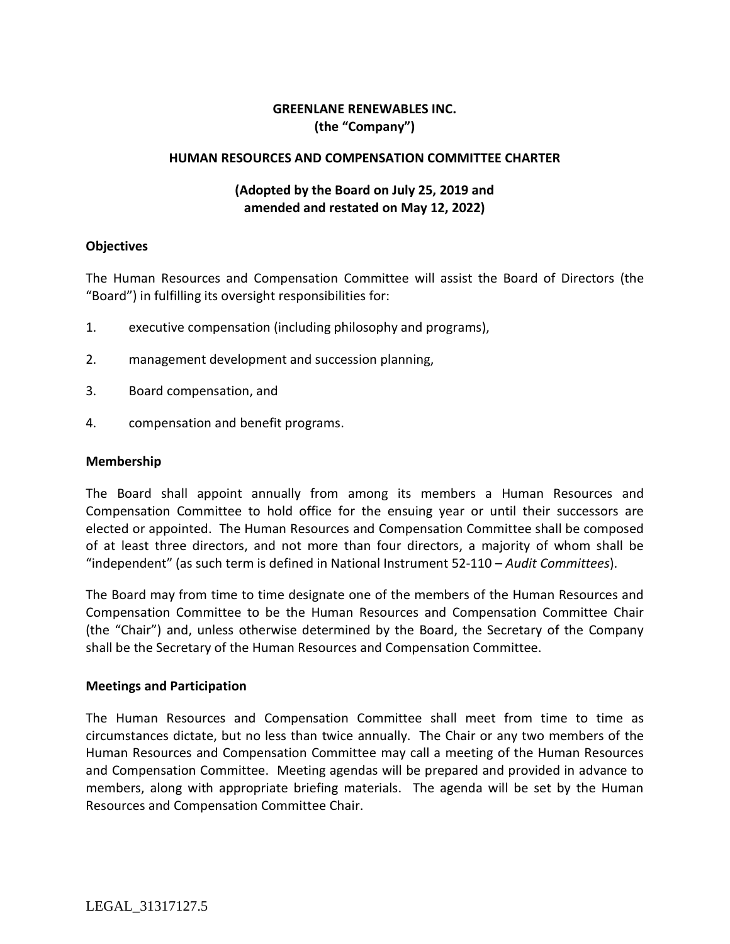### **GREENLANE RENEWABLES INC. (the "Company")**

#### **HUMAN RESOURCES AND COMPENSATION COMMITTEE CHARTER**

### **(Adopted by the Board on July 25, 2019 and amended and restated on May 12, 2022)**

#### **Objectives**

The Human Resources and Compensation Committee will assist the Board of Directors (the "Board") in fulfilling its oversight responsibilities for:

- 1. executive compensation (including philosophy and programs),
- 2. management development and succession planning,
- 3. Board compensation, and
- 4. compensation and benefit programs.

#### **Membership**

The Board shall appoint annually from among its members a Human Resources and Compensation Committee to hold office for the ensuing year or until their successors are elected or appointed. The Human Resources and Compensation Committee shall be composed of at least three directors, and not more than four directors, a majority of whom shall be "independent" (as such term is defined in National Instrument 52-110 – *Audit Committees*).

The Board may from time to time designate one of the members of the Human Resources and Compensation Committee to be the Human Resources and Compensation Committee Chair (the "Chair") and, unless otherwise determined by the Board, the Secretary of the Company shall be the Secretary of the Human Resources and Compensation Committee.

#### **Meetings and Participation**

The Human Resources and Compensation Committee shall meet from time to time as circumstances dictate, but no less than twice annually. The Chair or any two members of the Human Resources and Compensation Committee may call a meeting of the Human Resources and Compensation Committee. Meeting agendas will be prepared and provided in advance to members, along with appropriate briefing materials. The agenda will be set by the Human Resources and Compensation Committee Chair.

LEGAL\_31317127.5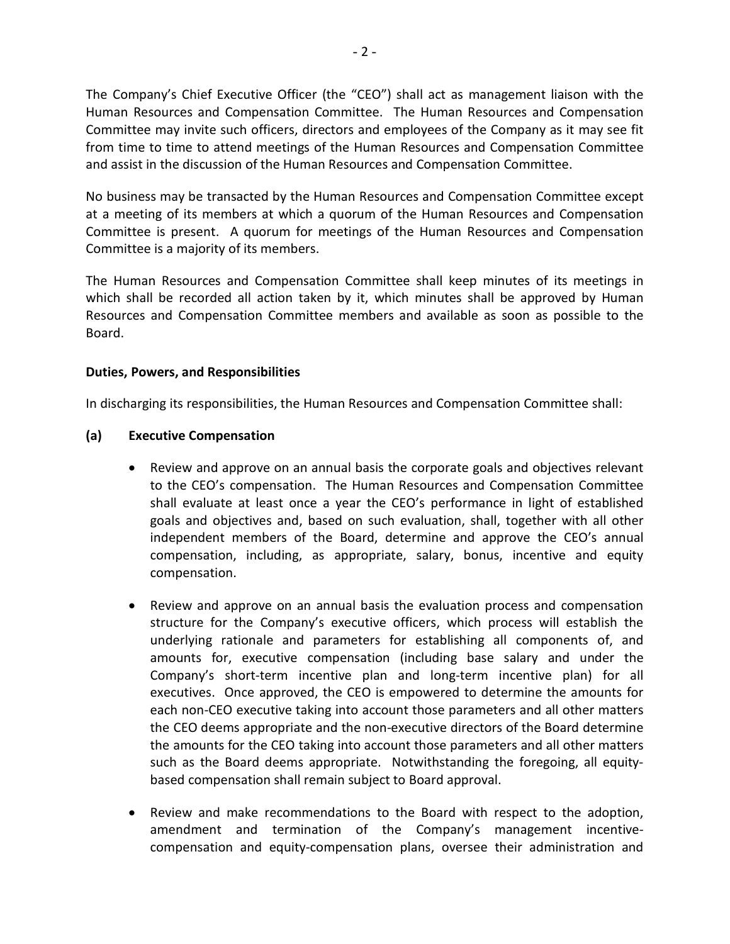The Company's Chief Executive Officer (the "CEO") shall act as management liaison with the Human Resources and Compensation Committee. The Human Resources and Compensation Committee may invite such officers, directors and employees of the Company as it may see fit from time to time to attend meetings of the Human Resources and Compensation Committee and assist in the discussion of the Human Resources and Compensation Committee.

No business may be transacted by the Human Resources and Compensation Committee except at a meeting of its members at which a quorum of the Human Resources and Compensation Committee is present. A quorum for meetings of the Human Resources and Compensation Committee is a majority of its members.

The Human Resources and Compensation Committee shall keep minutes of its meetings in which shall be recorded all action taken by it, which minutes shall be approved by Human Resources and Compensation Committee members and available as soon as possible to the Board.

### **Duties, Powers, and Responsibilities**

In discharging its responsibilities, the Human Resources and Compensation Committee shall:

### **(a) Executive Compensation**

- Review and approve on an annual basis the corporate goals and objectives relevant to the CEO's compensation. The Human Resources and Compensation Committee shall evaluate at least once a year the CEO's performance in light of established goals and objectives and, based on such evaluation, shall, together with all other independent members of the Board, determine and approve the CEO's annual compensation, including, as appropriate, salary, bonus, incentive and equity compensation.
- Review and approve on an annual basis the evaluation process and compensation structure for the Company's executive officers, which process will establish the underlying rationale and parameters for establishing all components of, and amounts for, executive compensation (including base salary and under the Company's short-term incentive plan and long-term incentive plan) for all executives. Once approved, the CEO is empowered to determine the amounts for each non-CEO executive taking into account those parameters and all other matters the CEO deems appropriate and the non-executive directors of the Board determine the amounts for the CEO taking into account those parameters and all other matters such as the Board deems appropriate. Notwithstanding the foregoing, all equitybased compensation shall remain subject to Board approval.
- Review and make recommendations to the Board with respect to the adoption, amendment and termination of the Company's management incentivecompensation and equity-compensation plans, oversee their administration and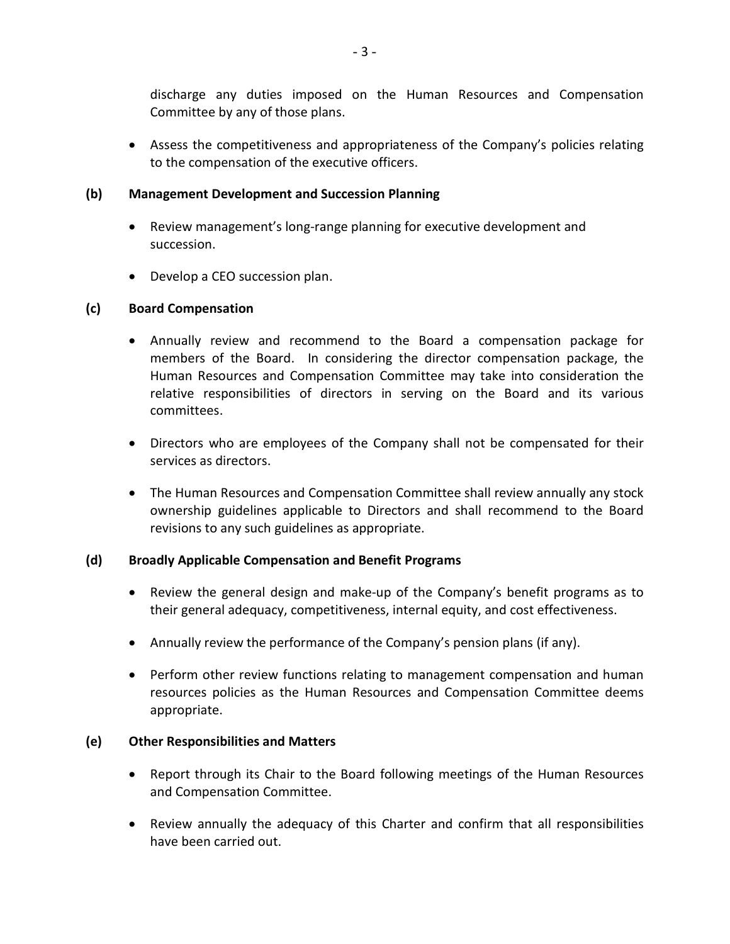discharge any duties imposed on the Human Resources and Compensation Committee by any of those plans.

• Assess the competitiveness and appropriateness of the Company's policies relating to the compensation of the executive officers.

## **(b) Management Development and Succession Planning**

- Review management's long-range planning for executive development and succession.
- Develop a CEO succession plan.

# **(c) Board Compensation**

- Annually review and recommend to the Board a compensation package for members of the Board. In considering the director compensation package, the Human Resources and Compensation Committee may take into consideration the relative responsibilities of directors in serving on the Board and its various committees.
- Directors who are employees of the Company shall not be compensated for their services as directors.
- The Human Resources and Compensation Committee shall review annually any stock ownership guidelines applicable to Directors and shall recommend to the Board revisions to any such guidelines as appropriate.

# **(d) Broadly Applicable Compensation and Benefit Programs**

- Review the general design and make-up of the Company's benefit programs as to their general adequacy, competitiveness, internal equity, and cost effectiveness.
- Annually review the performance of the Company's pension plans (if any).
- Perform other review functions relating to management compensation and human resources policies as the Human Resources and Compensation Committee deems appropriate.

# **(e) Other Responsibilities and Matters**

- Report through its Chair to the Board following meetings of the Human Resources and Compensation Committee.
- Review annually the adequacy of this Charter and confirm that all responsibilities have been carried out.